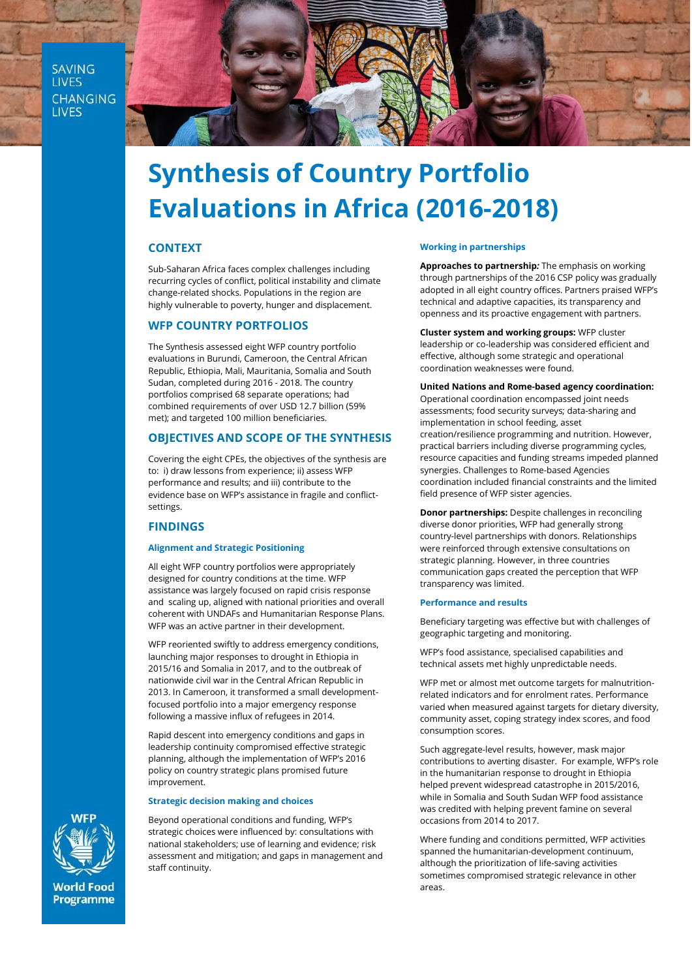**SAVING LIVES** CHANGING **LIVES** 



# **Synthesis of Country Portfolio Evaluations in Africa (2016-2018)**

# **CONTEXT**

Sub-Saharan Africa faces complex challenges including recurring cycles of conflict, political instability and climate change-related shocks. Populations in the region are highly vulnerable to poverty, hunger and displacement.

# **WFP COUNTRY PORTFOLIOS**

The Synthesis assessed eight WFP country portfolio evaluations in Burundi, Cameroon, the Central African Republic, Ethiopia, Mali, Mauritania, Somalia and South Sudan, completed during 2016 - 2018. The country portfolios comprised 68 separate operations; had combined requirements of over USD 12.7 billion (59% met); and targeted 100 million beneficiaries.

# **OBJECTIVES AND SCOPE OF THE SYNTHESIS**

Covering the eight CPEs, the objectives of the synthesis are to: i) draw lessons from experience; ii) assess WFP performance and results; and iii) contribute to the evidence base on WFP's assistance in fragile and conflictsettings.

# **FINDINGS**

## **Alignment and Strategic Positioning**

All eight WFP country portfolios were appropriately designed for country conditions at the time. WFP assistance was largely focused on rapid crisis response and scaling up, aligned with national priorities and overall coherent with UNDAFs and Humanitarian Response Plans. WFP was an active partner in their development.

WFP reoriented swiftly to address emergency conditions, launching major responses to drought in Ethiopia in 2015/16 and Somalia in 2017, and to the outbreak of nationwide civil war in the Central African Republic in 2013. In Cameroon, it transformed a small developmentfocused portfolio into a major emergency response following a massive influx of refugees in 2014.

Rapid descent into emergency conditions and gaps in leadership continuity compromised effective strategic planning, although the implementation of WFP's 2016 policy on country strategic plans promised future improvement.

#### **Strategic decision making and choices**

Beyond operational conditions and funding, WFP's strategic choices were influenced by: consultations with national stakeholders; use of learning and evidence; risk assessment and mitigation; and gaps in management and staff continuity.

## **Working in partnerships**

**Approaches to partnership***:* The emphasis on working through partnerships of the 2016 CSP policy was gradually adopted in all eight country offices. Partners praised WFP's technical and adaptive capacities, its transparency and openness and its proactive engagement with partners.

**Cluster system and working groups:** WFP cluster leadership or co-leadership was considered efficient and effective, although some strategic and operational coordination weaknesses were found.

**United Nations and Rome-based agency coordination:** Operational coordination encompassed joint needs assessments; food security surveys; data-sharing and implementation in school feeding, asset creation/resilience programming and nutrition. However, practical barriers including diverse programming cycles, resource capacities and funding streams impeded planned synergies. Challenges to Rome-based Agencies coordination included financial constraints and the limited field presence of WFP sister agencies.

**Donor partnerships:** Despite challenges in reconciling diverse donor priorities, WFP had generally strong country-level partnerships with donors. Relationships were reinforced through extensive consultations on strategic planning. However, in three countries communication gaps created the perception that WFP transparency was limited.

#### **Performance and results**

Beneficiary targeting was effective but with challenges of geographic targeting and monitoring.

WFP's food assistance, specialised capabilities and technical assets met highly unpredictable needs.

WFP met or almost met outcome targets for malnutritionrelated indicators and for enrolment rates. Performance varied when measured against targets for dietary diversity, community asset, coping strategy index scores, and food consumption scores.

Such aggregate-level results, however, mask major contributions to averting disaster. For example, WFP's role in the humanitarian response to drought in Ethiopia helped prevent widespread catastrophe in 2015/2016, while in Somalia and South Sudan WFP food assistance was credited with helping prevent famine on several occasions from 2014 to 2017.

Where funding and conditions permitted, WFP activities spanned the humanitarian-development continuum, although the prioritization of life-saving activities sometimes compromised strategic relevance in other areas.



**World Food Programme**